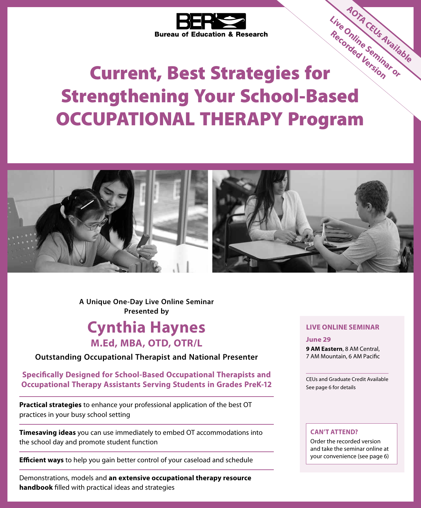

# Current, Best Strategies for Strengthening Your School-Based OCCUPATIONAL THERAPY Program **Live Online Seminar or Recorded Version AOTA CEUS Available**<br>Online Seminable



**A Unique One-Day Live Online Seminar Presented by**

## **Cynthia Haynes M.Ed, MBA, OTD, OTR/L**

**Outstanding Occupational Therapist and National Presenter**

**Specifically Designed for School-Based Occupational Therapists and Occupational Therapy Assistants Serving Students in Grades PreK-12**

**Practical strategies** to enhance your professional application of the best OT practices in your busy school setting

**Timesaving ideas** you can use immediately to embed OT accommodations into the school day and promote student function

**Efficient ways** to help you gain better control of your caseload and schedule

Demonstrations, models and **an extensive occupational therapy resource handbook** filled with practical ideas and strategies

### **LIVE ONLINE SEMINAR**

**OTA CEUS Availab** 

**June 29**

**9 AM Eastern**, 8 AM Central, 7 AM Mountain, 6 AM Pacific

CEUs and Graduate Credit Available See page 6 for details

### **CAN'T ATTEND?**

Order the recorded version and take the seminar online at your convenience (see page 6)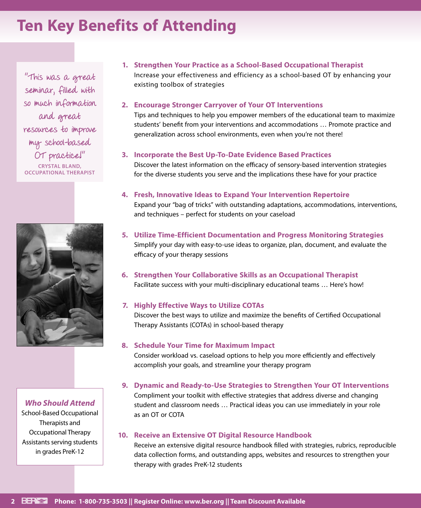## **Ten Key Benefits of Attending**

"This was a great seminar, filled with so much information and great resources to improve my school-based OT practice!" **CRYSTAL BLAND, OCCUPATIONAL THERAPIST**



### *Who Should Attend*

School-Based Occupational Therapists and Occupational Therapy Assistants serving students in grades PreK-12

### **1. Strengthen Your Practice as a School-Based Occupational Therapist**  Increase your effectiveness and efficiency as a school-based OT by enhancing your existing toolbox of strategies

### **2. Encourage Stronger Carryover of Your OT Interventions**

Tips and techniques to help you empower members of the educational team to maximize students' benefit from your interventions and accommodations … Promote practice and generalization across school environments, even when you're not there!

#### **3. Incorporate the Best Up-To-Date Evidence Based Practices**

Discover the latest information on the efficacy of sensory-based intervention strategies for the diverse students you serve and the implications these have for your practice

### **4. Fresh, Innovative Ideas to Expand Your Intervention Repertoire**

Expand your "bag of tricks" with outstanding adaptations, accommodations, interventions, and techniques – perfect for students on your caseload

- **5. Utilize Time-Efficient Documentation and Progress Monitoring Strategies** Simplify your day with easy-to-use ideas to organize, plan, document, and evaluate the efficacy of your therapy sessions
- **6. Strengthen Your Collaborative Skills as an Occupational Therapist** Facilitate success with your multi-disciplinary educational teams … Here's how!

### **7. Highly Effective Ways to Utilize COTAs**

Discover the best ways to utilize and maximize the benefits of Certified Occupational Therapy Assistants (COTAs) in school-based therapy

#### **8. Schedule Your Time for Maximum Impact**

Consider workload vs. caseload options to help you more efficiently and effectively accomplish your goals, and streamline your therapy program

### **9. Dynamic and Ready-to-Use Strategies to Strengthen Your OT Interventions** Compliment your toolkit with effective strategies that address diverse and changing student and classroom needs … Practical ideas you can use immediately in your role as an OT or COTA

### **10. Receive an Extensive OT Digital Resource Handbook**

Receive an extensive digital resource handbook filled with strategies, rubrics, reproducible data collection forms, and outstanding apps, websites and resources to strengthen your therapy with grades PreK-12 students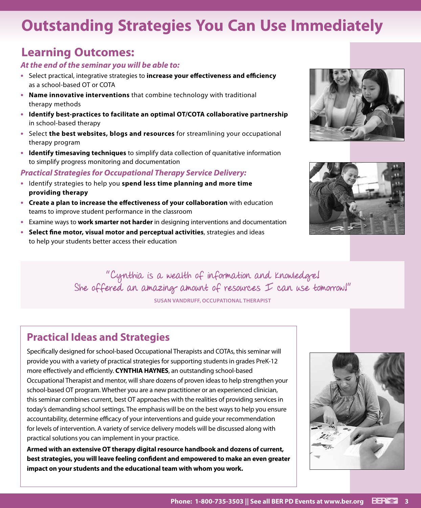## **Outstanding Strategies You Can Use Immediately**

## **Learning Outcomes:**

### *At the end of the seminar you will be able to:*

- **•** Select practical, integrative strategies to **increase your effectiveness and efficiency**  as a school-based OT or COTA
- **• Name innovative interventions** that combine technology with traditional therapy methods
- **• Identify best-practices to facilitate an optimal OT/COTA collaborative partnership** in school-based therapy
- **•** Select **the best websites, blogs and resources** for streamlining your occupational therapy program
- **• Identify timesaving techniques** to simplify data collection of quanitative information to simplify progress monitoring and documentation

## *Practical Strategies for Occupational Therapy Service Delivery:*

- **•** Identify strategies to help you **spend less time planning and more time providing therapy**
- **• Create a plan to increase the effectiveness of your collaboration** with education teams to improve student performance in the classroom
- **•** Examine ways to **work smarter not harder** in designing interventions and documentation
- **• Select fine motor, visual motor and perceptual activities**, strategies and ideas to help your students better access their education





"Cynthia is a wealth of information and knowledge! She offered an amazing amount of resources I can use tomorrow!" **SUSAN VANDRUFF, OCCUPATIONAL THERAPIST**

## **Practical Ideas and Strategies**

Specifically designed for school-based Occupational Therapists and COTAs, this seminar will provide you with a variety of practical strategies for supporting students in grades PreK-12 more effectively and efficiently. **CYNTHIA HAYNES**, an outstanding school-based Occupational Therapist and mentor, will share dozens of proven ideas to help strengthen your school-based OT program. Whether you are a new practitioner or an experienced clinician, this seminar combines current, best OT approaches with the realities of providing services in today's demanding school settings. The emphasis will be on the best ways to help you ensure accountability, determine efficacy of your interventions and guide your recommendation for levels of intervention. A variety of service delivery models will be discussed along with practical solutions you can implement in your practice.

**Armed with an extensive OT therapy digital resource handbook and dozens of current, best strategies, you will leave feeling confident and empowered to make an even greater impact on your students and the educational team with whom you work.**

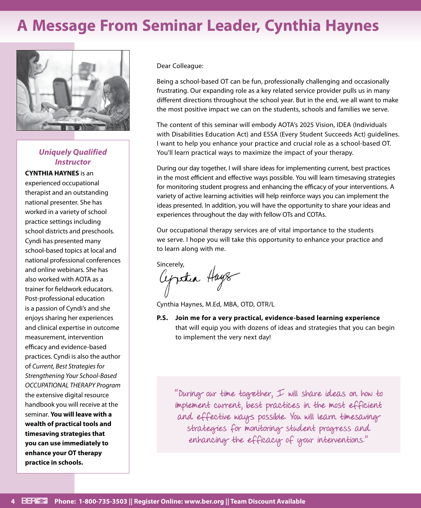## **A Message From Seminar Leader, Cynthia Haynes**



## *Uniquely Qualified Instructor*

**CYNTHIA HAYNES** is an experienced occupational therapist and an outstanding national presenter. She has worked in a variety of school practice settings including school districts and preschools. Cyndi has presented many school-based topics at local and national professional conferences and online webinars. She has also worked with AOTA as a trainer for fieldwork educators. Post-professional education is a passion of Cyndi's and she enjoys sharing her experiences and clinical expertise in outcome measurement, intervention efficacy and evidence-based practices. Cyndi is also the author of *Current, Best Strategies for Strengthening Your School-Based OCCUPATIONAL THERAPY Program* the extensive digital resource handbook you will receive at the seminar. **You will leave with a wealth of practical tools and timesaving strategies that you can use immediately to enhance your OT therapy practice in schools.**

Dear Colleague:

Being a school-based OT can be fun, professionally challenging and occasionally frustrating. Our expanding role as a key related service provider pulls us in many different directions throughout the school year. But in the end, we all want to make the most positive impact we can on the students, schools and families we serve.

The content of this seminar will embody AOTA's 2025 Vision, IDEA (Individuals with Disabilities Education Act) and ESSA (Every Student Succeeds Act) guidelines. I want to help you enhance your practice and crucial role as a school-based OT. You'll learn practical ways to maximize the impact of your therapy.

During our day together, I will share ideas for implementing current, best practices in the most efficient and effective ways possible. You will learn timesaving strategies for monitoring student progress and enhancing the efficacy of your interventions. A variety of active learning activities will help reinforce ways you can implement the ideas presented. In addition, you will have the opportunity to share your ideas and experiences throughout the day with fellow OTs and COTAs.

Our occupational therapy services are of vital importance to the students we serve. I hope you will take this opportunity to enhance your practice and to learn along with me.

sincerely,<br>Cypothea Hays

Cynthia Haynes, M.Ed, MBA, OTD, OTR/L

**P.S. Join me for a very practical, evidence-based learning experience** that will equip you with dozens of ideas and strategies that you can begin to implement the very next day!

"During our time together, I will share ideas on how to implement current, best practices in the most efficient and effective ways possible. You will learn timesaving strategies for monitoring student progress and enhancing the efficacy of your interventions."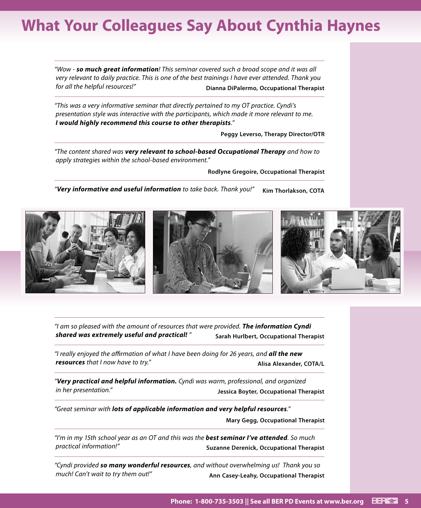## **What Your Colleagues Say About Cynthia Haynes**

*"Wow - so much great information! This seminar covered such a broad scope and it was all very relevant to daily practice. This is one of the best trainings I have ever attended. Thank you for all the helpful resources!"* **Dianna DiPalermo, Occupational Therapist**

*"This was a very informative seminar that directly pertained to my OT practice. Cyndi's presentation style was interactive with the participants, which made it more relevant to me. I would highly recommend this course to other therapists."*

**Peggy Leverso, Therapy Director/OTR**

*"The content shared was very relevant to school-based Occupational Therapy and how to apply strategies within the school-based environment."*

**Rodlyne Gregoire, Occupational Therapist**

*"Very informative and useful information to take back. Thank you!"* **Kim Thorlakson, COTA**



*"I am so pleased with the amount of resources that were provided. The information Cyndi shared was extremely useful and practical! "* **Sarah Hurlbert, Occupational Therapist** 

*"I really enjoyed the affirmation of what I have been doing for 26 years, and all the new*  **resources** that I now have to try." **Allisa Alexander, COTA/L** 

*"Very practical and helpful information. Cyndi was warm, professional, and organized in her presentation."* **Jessica Boyter, Occupational Therapist**

*"Great seminar with lots of applicable information and very helpful resources."*

**Mary Gegg, Occupational Therapist**

*"I'm in my 15th school year as an OT and this was the best seminar I've attended. So much practical information!"* **Suzanne Derenick, Occupational Therapist** 

*"Cyndi provided so many wonderful resources, and without overwhelming us! Thank you so much! Can't wait to try them out!"* **Ann Casey-Leahy, Occupational Therapist**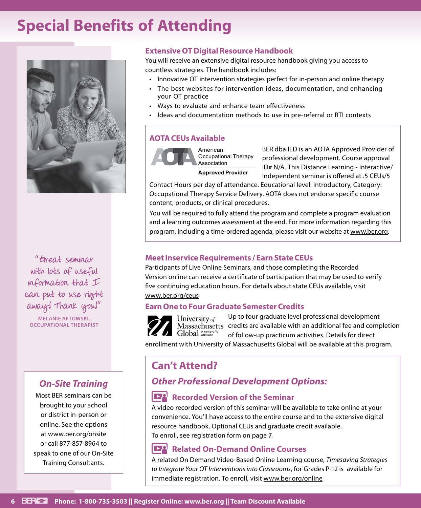## **Special Benefits of Attending**



"Great seminar with lots of useful information that I can put to use right away! Thank you!" **MELANIE AFTOWSKI, OCCUPATIONAL THERAPIST**

## *On-Site Training*

Most BER seminars can be brought to your school or district in-person or online. See the options at www.ber.org/onsite or call 877-857-8964 to speak to one of our On-Site Training Consultants.

## **Extensive OT Digital Resource Handbook**

You will receive an extensive digital resource handbook giving you access to countless strategies. The handbook includes:

- Innovative OT intervention strategies perfect for in-person and online therapy
- The best websites for intervention ideas, documentation, and enhancing your OT practice
- Ways to evaluate and enhance team effectiveness
- Ideas and documentation methods to use in pre-referral or RTI contexts

## **AOTA CEUs Available**



American Occupational Therapy Association

**Approved Provider**

BER dba IED is an AOTA Approved Provider of professional development. Course approval ID# N/A. This Distance Learning - Interactive/ Independent seminar is offered at .5 CEUs/5

Contact Hours per day of attendance. Educational level: Introductory, Category: Occupational Therapy Service Delivery. AOTA does not endorse specific course content, products, or clinical procedures.

You will be required to fully attend the program and complete a program evaluation and a learning outcomes assessment at the end. For more information regarding this program, including a time-ordered agenda, please visit our website at www.ber.org.

## **Meet Inservice Requirements / Earn State CEUs**

Participants of Live Online Seminars, and those completing the Recorded Version online can receive a certificate of participation that may be used to verify five continuing education hours. For details about state CEUs available, visit www.ber.org/ceus

## **Earn One to Four Graduate Semester Credits**



Up to four graduate level professional development Massachusetts credits are available with an additional fee and completion of follow-up practicum activities. Details for direct

enrollment with University of Massachusetts Global will be available at this program.

## **Can't Attend?**

## *Other Professional Development Options:*

## **Recorded Version of the Seminar**

A video recorded version of this seminar will be available to take online at your convenience. You'll have access to the entire course and to the extensive digital resource handbook. Optional CEUs and graduate credit available. To enroll, see registration form on page 7.

## **Related On-Demand Online Courses**

A related On Demand Video-Based Online Learning course, *Timesaving Strategies to Integrate Your OT Interventions into Classrooms*, for Grades P-12 is available for immediate registration. To enroll, visit www.ber.org/online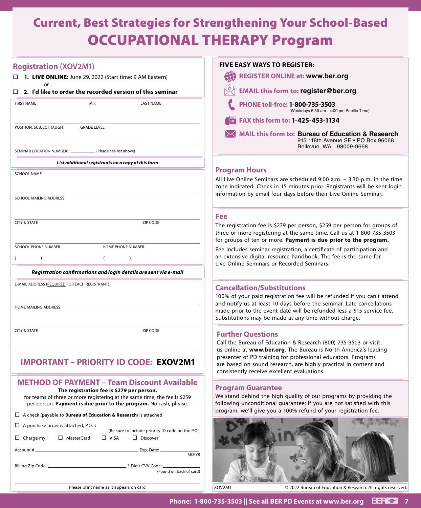## Current, Best Strategies for Strengthening Your School-Based OCCUPATIONAL THERAPY Program

| <b>Registration (XOV2M1)</b>                                                                                                                                                                | <b>FIVE EASY WAYS TO REGISTER:</b>                                                                                                                                                                                                                  |
|---------------------------------------------------------------------------------------------------------------------------------------------------------------------------------------------|-----------------------------------------------------------------------------------------------------------------------------------------------------------------------------------------------------------------------------------------------------|
| $\Box$ 1. LIVE ONLINE: June 29, 2022 (Start time: 9 AM Eastern)                                                                                                                             | REGISTER ONLINE at: www.ber.org                                                                                                                                                                                                                     |
| $-$ or $-$<br>$\Box$ 2. I'd like to order the recorded version of this seminar                                                                                                              | <b>EMAIL this form to: register@ber.org</b>                                                                                                                                                                                                         |
| M.I.<br><b>LAST NAME</b><br><b>FIRST NAME</b>                                                                                                                                               | PHONE toll-free: 1-800-735-3503<br>(Weekdays 5:30 am - 4:00 pm Pacific Time)                                                                                                                                                                        |
|                                                                                                                                                                                             | FAX this form to: 1-425-453-1134<br>1 (前)                                                                                                                                                                                                           |
| POSITION, SUBJECT TAUGHT<br><b>GRADE LEVEL</b>                                                                                                                                              | MAIL this form to: Bureau of Education & Research<br>915 118th Avenue SE . PO Box 96068<br>Bellevue, WA 98009-9668                                                                                                                                  |
| SEMINAR LOCATION NUMBER: -<br>(Please see list above)                                                                                                                                       |                                                                                                                                                                                                                                                     |
| List additional registrants on a copy of this form                                                                                                                                          |                                                                                                                                                                                                                                                     |
| <b>SCHOOL NAME</b>                                                                                                                                                                          | <b>Program Hours</b><br>All Live Online Seminars are scheduled 9:00 a.m. - 3:30 p.m. in the time<br>zone indicated. Check in 15 minutes prior. Registrants will be sent login<br>information by email four days before their Live Online Seminar.   |
| SCHOOL MAILING ADDRESS                                                                                                                                                                      |                                                                                                                                                                                                                                                     |
|                                                                                                                                                                                             | <b>Fee</b>                                                                                                                                                                                                                                          |
| <b>CITY &amp; STATE</b><br>ZIP CODE                                                                                                                                                         | The registration fee is \$279 per person, \$259 per person for groups of<br>three or more registering at the same time. Call us at 1-800-735-3503<br>for groups of ten or more. Payment is due prior to the program.                                |
| <b>SCHOOL PHONE NUMBER</b><br><b>HOME PHONE NUMBER</b>                                                                                                                                      | Fee includes seminar registration, a certificate of participation and                                                                                                                                                                               |
| 6                                                                                                                                                                                           | an extensive digital resource handbook. The fee is the same for<br>Live Online Seminars or Recorded Seminars.                                                                                                                                       |
| Registration confirmations and login details are sent via e-mail                                                                                                                            |                                                                                                                                                                                                                                                     |
| E-MAIL ADDRESS (REQUIRED FOR EACH REGISTRANT)                                                                                                                                               | <b>Cancellation/Substitutions</b>                                                                                                                                                                                                                   |
|                                                                                                                                                                                             | 100% of your paid registration fee will be refunded if you can't attend                                                                                                                                                                             |
| HOME MAILING ADDRESS                                                                                                                                                                        | and notify us at least 10 days before the seminar. Late cancellations<br>made prior to the event date will be refunded less a \$15 service fee.<br>Substitutions may be made at any time without charge.                                            |
| <b>CITY &amp; STATE</b><br>ZIP CODE                                                                                                                                                         | <b>Further Questions</b>                                                                                                                                                                                                                            |
|                                                                                                                                                                                             | Call the Bureau of Education & Research (800) 735-3503 or visit                                                                                                                                                                                     |
| <b>IMPORTANT - PRIORITY ID CODE: EXOV2M1</b>                                                                                                                                                | us online at www.ber.org. The Bureau is North America's leading<br>presenter of PD training for professional educators. Programs<br>are based on sound research, are highly practical in content and<br>consistently receive excellent evaluations. |
| <b>METHOD OF PAYMENT - Team Discount Available</b>                                                                                                                                          |                                                                                                                                                                                                                                                     |
| The registration fee is \$279 per person,<br>for teams of three or more registering at the same time, the fee is \$259<br>per person. Payment is due prior to the program. No cash, please. | <b>Program Guarantee</b><br>We stand behind the high quality of our programs by providing the<br>following unconditional guarantee: If you are not satisfied with this                                                                              |
| $\Box$ A check (payable to <b>Bureau of Education &amp; Research</b> ) is attached                                                                                                          | program, we'll give you a 100% refund of your registration fee.                                                                                                                                                                                     |
| $\Box$ A purchase order is attached, P.O. #                                                                                                                                                 |                                                                                                                                                                                                                                                     |
| (Be sure to include priority ID code on the P.O.)<br>$\Box$ Charge my:<br>□ MasterCard<br>$\Box$ VISA<br>$\Box$ Discover                                                                    |                                                                                                                                                                                                                                                     |
| MO/YR                                                                                                                                                                                       |                                                                                                                                                                                                                                                     |
| (Found on back of card)                                                                                                                                                                     |                                                                                                                                                                                                                                                     |
|                                                                                                                                                                                             |                                                                                                                                                                                                                                                     |